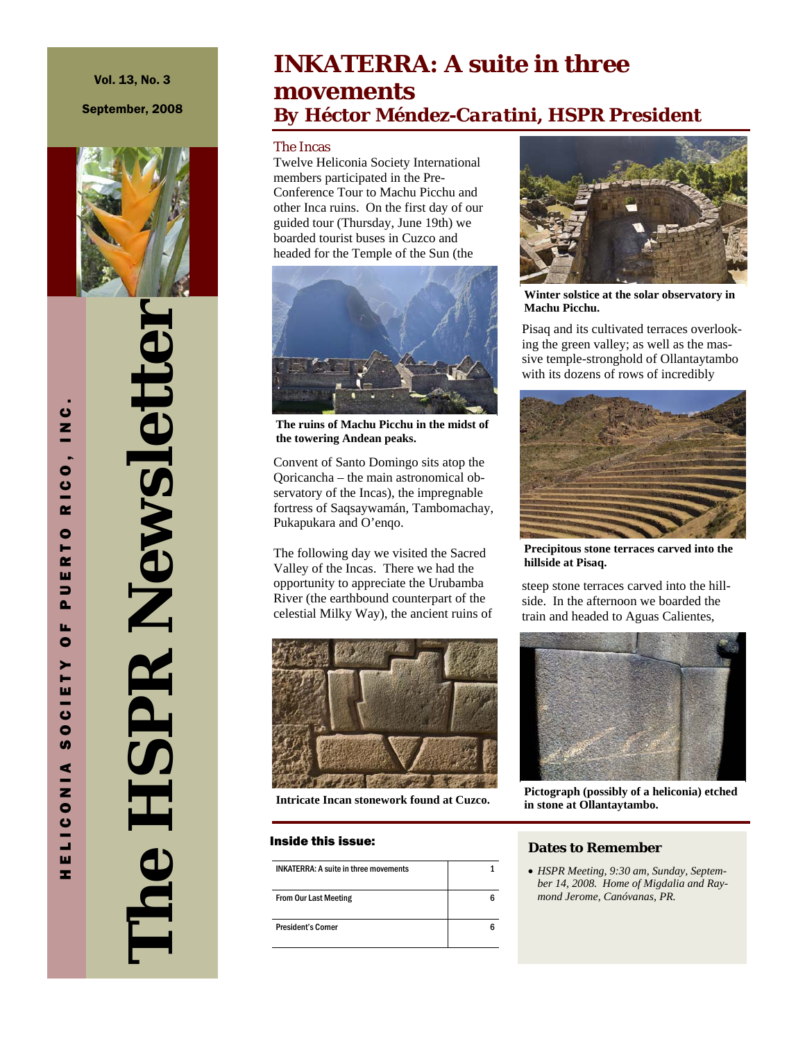Vol. 13, No. 3

September, 2008



**The HSPR Newsletter**  The HSPR Newslette

### **INKATERRA: A suite in three movements**  *By Héctor Méndez-Caratini, HSPR President*

The Incas

Twelve Heliconia Society International members participated in the Pre-Conference Tour to Machu Picchu and other Inca ruins. On the first day of our guided tour (Thursday, June 19th) we boarded tourist buses in Cuzco and headed for the Temple of the Sun (the



**The ruins of Machu Picchu in the midst of the towering Andean peaks.** 

Convent of Santo Domingo sits atop the Qoricancha – the main astronomical observatory of the Incas), the impregnable fortress of Saqsaywamán, Tambomachay, Pukapukara and O'enqo.

The following day we visited the Sacred Valley of the Incas. There we had the opportunity to appreciate the Urubamba River (the earthbound counterpart of the celestial Milky Way), the ancient ruins of



**Intricate Incan stonework found at Cuzco.** 

#### Inside this issue:

| <b>INKATERRA: A suite in three movements</b> |  |
|----------------------------------------------|--|
| <b>From Our Last Meeting</b>                 |  |
| <b>President's Corner</b>                    |  |



**Winter solstice at the solar observatory in Machu Picchu.** 

Pisaq and its cultivated terraces overlooking the green valley; as well as the massive temple-stronghold of Ollantaytambo with its dozens of rows of incredibly



**Precipitous stone terraces carved into the hillside at Pisaq.** 

steep stone terraces carved into the hillside. In the afternoon we boarded the train and headed to Aguas Calientes,



**Pictograph (possibly of a heliconia) etched in stone at Ollantaytambo.** 

#### **Dates to Remember**

• *HSPR Meeting, 9:30 am, Sunday, September 14, 2008. Home of Migdalia and Raymond Jerome, Canóvanas, PR.* 

HELICONIA SOCIETY OF PUERTO RICO, INC. U<br>N<br>N RICO.  $\bullet$ Н  $\alpha$ ш  $\Rightarrow$  $\mathbf{a}$ u.  $\bullet$ CIETY  $\bullet$ U) ELICONIA ÷.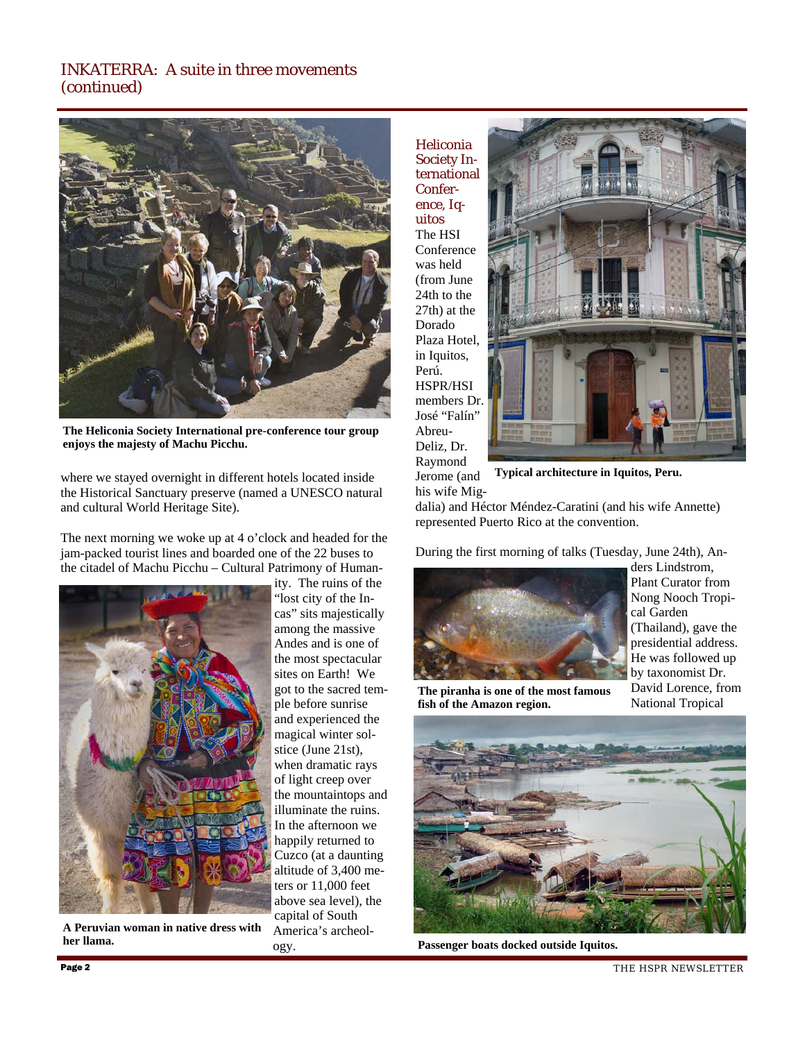

**The Heliconia Society International pre-conference tour group enjoys the majesty of Machu Picchu.** 

where we stayed overnight in different hotels located inside the Historical Sanctuary preserve (named a UNESCO natural and cultural World Heritage Site).

The next morning we woke up at 4 o'clock and headed for the jam-packed tourist lines and boarded one of the 22 buses to the citadel of Machu Picchu – Cultural Patrimony of Human-



**A Peruvian woman in native dress with her llama.** 

ity. The ruins of the "lost city of the Incas" sits majestically among the massive Andes and is one of the most spectacular sites on Earth! We got to the sacred temple before sunrise and experienced the magical winter solstice (June 21st), when dramatic rays of light creep over the mountaintops and illuminate the ruins. In the afternoon we happily returned to Cuzco (at a daunting altitude of 3,400 meters or 11,000 feet above sea level), the capital of South America's archeology.

Heliconia Society International Conference, Iquitos The HSI Conference was held (from June 24th to the 27th) at the Dorado Plaza Hotel, in Iquitos, Perú. HSPR/HSI members Dr. José "Falín" Abreu-Deliz, Dr. Raymond



Jerome (and his wife Mig-**Typical architecture in Iquitos, Peru.** 

dalia) and Héctor Méndez-Caratini (and his wife Annette) represented Puerto Rico at the convention.

During the first morning of talks (Tuesday, June 24th), An-



ders Lindstrom, Plant Curator from Nong Nooch Tropical Garden (Thailand), gave the presidential address. He was followed up by taxonomist Dr. David Lorence, from National Tropical

**The piranha is one of the most famous fish of the Amazon region.** 



**Passenger boats docked outside Iquitos.** 

THE HSPR NEWSLETTER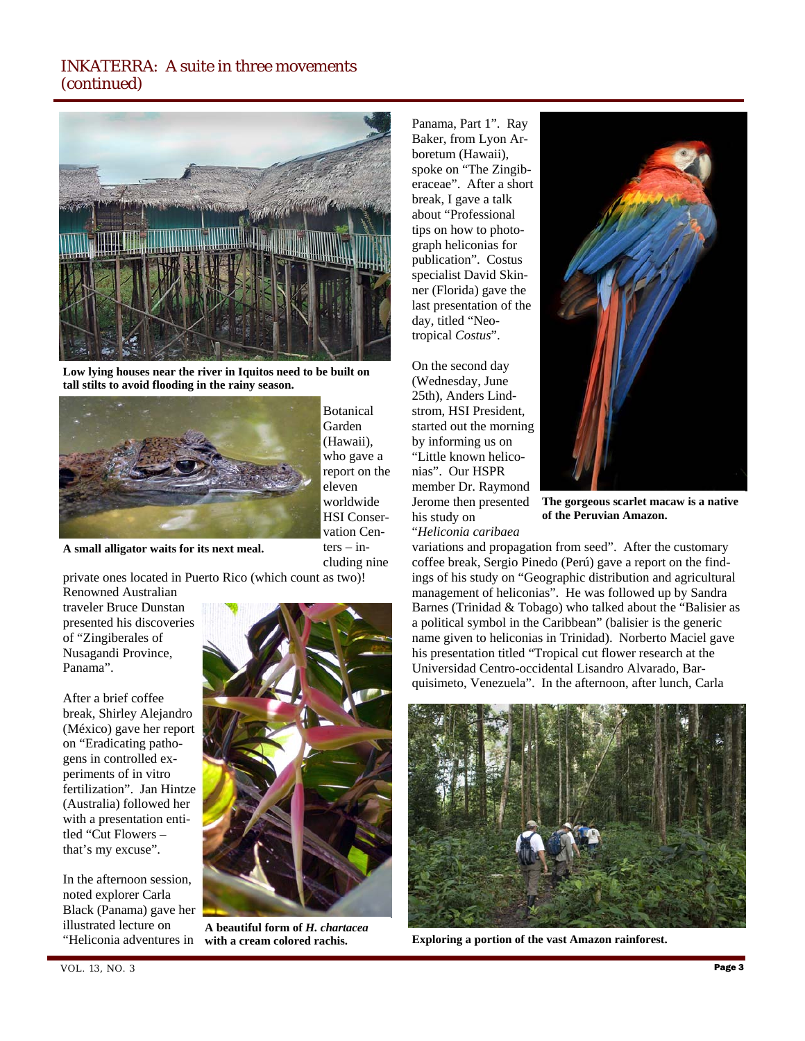

**Low lying houses near the river in Iquitos need to be built on tall stilts to avoid flooding in the rainy season.** 



Botanical Garden (Hawaii), who gave a report on the eleven worldwide HSI Conservation Cen $ters - in$ cluding nine

**A small alligator waits for its next meal.** 

private ones located in Puerto Rico (which count as two)!

Renowned Australian traveler Bruce Dunstan presented his discoveries of "Zingiberales of Nusagandi Province, Panama".

After a brief coffee break, Shirley Alejandro (México) gave her report on "Eradicating pathogens in controlled experiments of in vitro fertilization". Jan Hintze (Australia) followed her with a presentation entitled "Cut Flowers – that's my excuse".

In the afternoon session, noted explorer Carla Black (Panama) gave her illustrated lecture on "Heliconia adventures in



**A beautiful form of** *H. chartacea* 

Panama, Part 1". Ray Baker, from Lyon Arboretum (Hawaii), spoke on "The Zingiberaceae". After a short break, I gave a talk about "Professional tips on how to photograph heliconias for publication". Costus specialist David Skinner (Florida) gave the last presentation of the day, titled "Neotropical *Costus*".

On the second day (Wednesday, June 25th), Anders Lindstrom, HSI President, started out the morning by informing us on "Little known heliconias". Our HSPR member Dr. Raymond Jerome then presented his study on "*Heliconia caribaea* 



**The gorgeous scarlet macaw is a native of the Peruvian Amazon.** 

variations and propagation from seed". After the customary coffee break, Sergio Pinedo (Perú) gave a report on the findings of his study on "Geographic distribution and agricultural management of heliconias". He was followed up by Sandra Barnes (Trinidad & Tobago) who talked about the "Balisier as a political symbol in the Caribbean" (balisier is the generic name given to heliconias in Trinidad). Norberto Maciel gave his presentation titled "Tropical cut flower research at the Universidad Centro-occidental Lisandro Alvarado, Barquisimeto, Venezuela". In the afternoon, after lunch, Carla



**with a cream colored rachis. Exploring a portion of the vast Amazon rainforest.**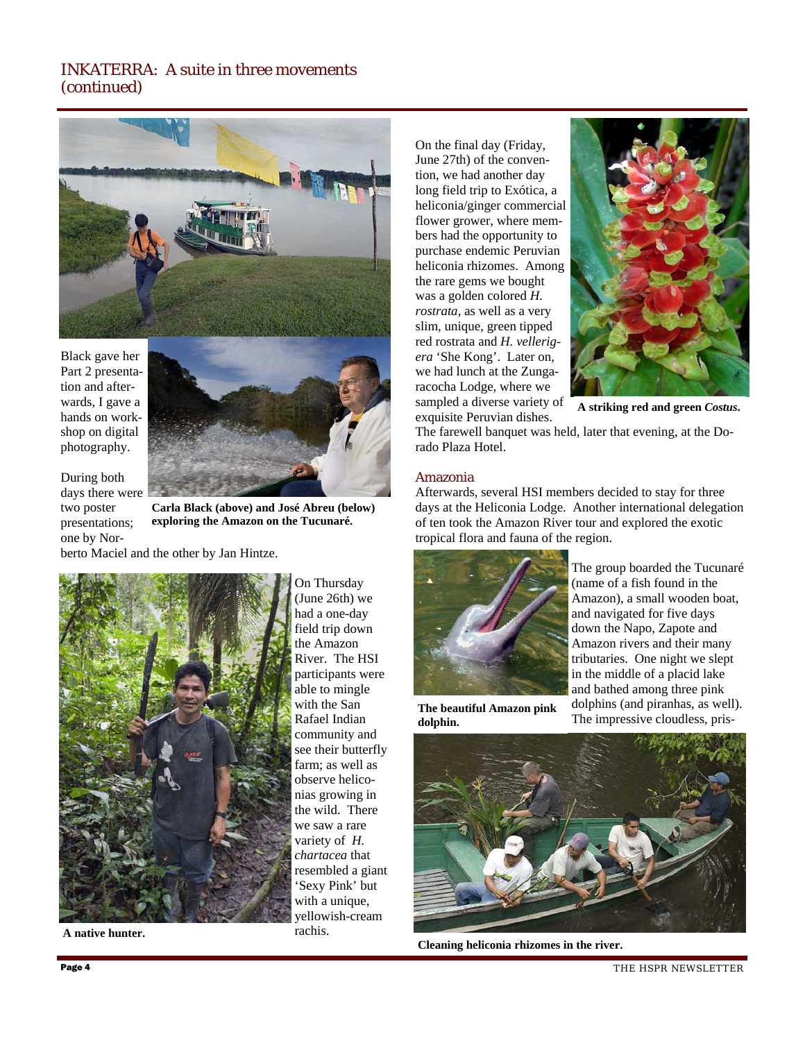

Black gave her Part 2 presentation and afterwards, I gave a hands on workshop on digital photography.



During both days there were two poster presentations; one by Nor-

**Carla Black (above) and José Abreu (below) exploring the Amazon on the Tucunaré.** 

berto Maciel and the other by Jan Hintze.



**A native hunter.** 

On Thursday (June 26th) we had a one-day field trip down the Amazon River. The HSI participants were able to mingle with the San Rafael Indian community and see their butterfly farm; as well as observe heliconias growing in the wild. There we saw a rare variety of *H. chartacea* that resembled a giant 'Sexy Pink' but with a unique, yellowish-cream rachis.

On the final day (Friday, June 27th) of the convention, we had another day long field trip to Exótica, a heliconia/ginger commercial flower grower, where members had the opportunity to purchase endemic Peruvian heliconia rhizomes. Among the rare gems we bought was a golden colored *H. rostrata*, as well as a very slim, unique, green tipped red rostrata and *H. vellerigera* 'She Kong'. Later on, we had lunch at the Zungaracocha Lodge, where we sampled a diverse variety of exquisite Peruvian dishes.



**A striking red and green** *Costus***.** 

The farewell banquet was held, later that evening, at the Dorado Plaza Hotel.

#### Amazonia

Afterwards, several HSI members decided to stay for three days at the Heliconia Lodge. Another international delegation of ten took the Amazon River tour and explored the exotic tropical flora and fauna of the region.



The group boarded the Tucunaré (name of a fish found in the Amazon), a small wooden boat, and navigated for five days down the Napo, Zapote and Amazon rivers and their many tributaries. One night we slept in the middle of a placid lake and bathed among three pink dolphins (and piranhas, as well). The impressive cloudless, pris-

**The beautiful Amazon pink dolphin.** 



**Cleaning heliconia rhizomes in the river.** 

THE HSPR NEWSLETTER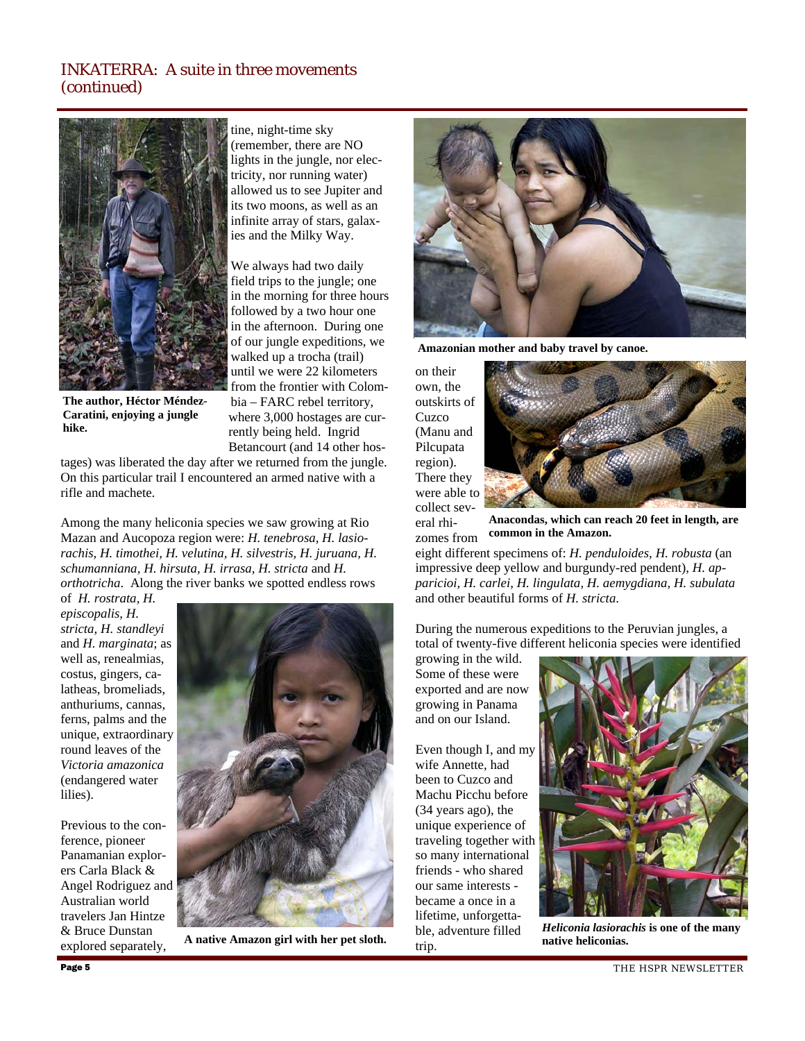

**The author, Héctor Méndez-Caratini, enjoying a jungle hike.** 

tine, night-time sky (remember, there are NO lights in the jungle, nor electricity, nor running water) allowed us to see Jupiter and its two moons, as well as an infinite array of stars, galaxies and the Milky Way.

We always had two daily field trips to the jungle; one in the morning for three hours followed by a two hour one in the afternoon. During one of our jungle expeditions, we walked up a trocha (trail) until we were 22 kilometers from the frontier with Colombia – FARC rebel territory, where 3,000 hostages are currently being held. Ingrid Betancourt (and 14 other hos-

tages) was liberated the day after we returned from the jungle. On this particular trail I encountered an armed native with a rifle and machete.

Among the many heliconia species we saw growing at Rio Mazan and Aucopoza region were: *H. tenebrosa, H. lasiorachis, H. timothei, H. velutina, H. silvestris, H. juruana, H. schumanniana, H. hirsuta, H. irrasa, H. stricta* and *H. orthotricha*. Along the river banks we spotted endless rows

of *H. rostrata, H. episcopalis, H. stricta, H. standleyi*  and *H. marginata*; as well as, renealmias, costus, gingers, calatheas, bromeliads, anthuriums, cannas, ferns, palms and the unique, extraordinary round leaves of the *Victoria amazonica* (endangered water lilies).

Previous to the conference, pioneer Panamanian explorers Carla Black & Angel Rodriguez and Australian world travelers Jan Hintze & Bruce Dunstan explored separately,



 **A native Amazon girl with her pet sloth.** 



**Amazonian mother and baby travel by canoe.** 

on their own, the outskirts of **Cuzco** (Manu and Pilcupata region). There they were able to collect sev-



eral rhizomes from **Anacondas, which can reach 20 feet in length, are common in the Amazon.** 

eight different specimens of: *H. penduloides, H. robusta* (an impressive deep yellow and burgundy-red pendent), *H. apparicioi, H. carlei, H. lingulata, H. aemygdiana, H. subulata*  and other beautiful forms of *H. stricta*.

During the numerous expeditions to the Peruvian jungles, a total of twenty-five different heliconia species were identified

growing in the wild. Some of these were exported and are now growing in Panama and on our Island.

Even though I, and my wife Annette, had been to Cuzco and Machu Picchu before (34 years ago), the unique experience of traveling together with so many international friends - who shared our same interests became a once in a lifetime, unforgettable, adventure filled trip.



*Heliconia lasiorachis* **is one of the many native heliconias.**